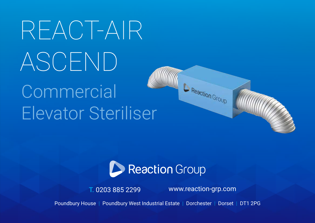# REACT-AIR ASCEND

# **Commercial** Elevator Steriliser



T. 0203 885 2299 www.reaction-grp.com

Reaction Group

Poundbury House | Poundbury West Industrial Estate | Dorchester | Dorset | DT1 2PG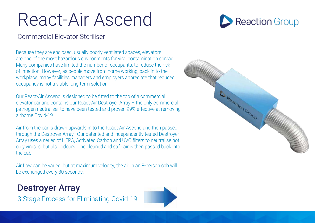## React-Air Ascend



#### Commercial Elevator Steriliser

Because they are enclosed, usually poorly ventilated spaces, elevators are one of the most hazardous environments for viral contamination spread. Many companies have limited the number of occupants, to reduce the risk of infection. However, as people move from home working, back in to the workplace, many facilities managers and employers appreciate that reduced occupancy is not a viable long-term solution.

Our React-Air Ascend is designed to be fitted to the top of a commercial elevator car and contains our React-Air Destroyer Array – the only commercial pathogen neutraliser to have been tested and proven 99% effective at removing airborne Covid-19.

Air from the car is drawn upwards in to the React-Air Ascend and then passed through the Destroyer Array. Our patented and independently tested Destroyer Array uses a series of HEPA, Activated Carbon and UVC filters to neutralise not only viruses, but also odours. The cleaned and safe air is then passed back into the cab.

Air flow can be varied, but at maximum velocity, the air in an 8-person cab will be exchanged every 30 seconds.

#### **Destroyer Array**

3 Stage Process for Eliminating Covid-19



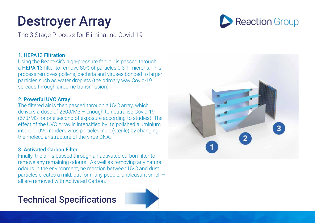### Destroyer Array

The 3 Stage Process for Eliminating Covid-19

#### 1. HEPA13 Filtration

Using the React-Air's high-pressure fan, air is passed through a HEPA 13 filter to remove 80% of particles 0.3-1 microns. This process removes pollens, bacteria and viruses bonded to larger particles such as water droplets (the primary way Covid-19 spreads through airborne transmission).

#### 2. Powerful UVC Array

The filtered air is then passed through a UVC array, which delivers a dose of 250J/M3 – enough to neutralise Covid-19 (67J/M3 for one second of exposure according to studies). The effect of the UVC Array is intensified by it's polished aluminium interior. UVC renders virus particles inert (sterile) by changing the molecular structure of the virus DNA.

#### 3. Activated Carbon Filter

Finally, the air is passed through an activated carbon filter to remove any remaining odours. As well as removing any natural odours in the environment, he reaction between UVC and dust particles creates a mild, but for many people, unpleasant smell – all are removed with Activated Carbon.

#### Technical Specifications





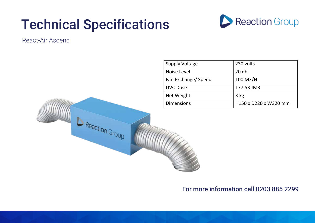### Technical Specifications

Reaction Group



#### React-Air Ascend

| <b>Supply Voltage</b> | 230 volts             |
|-----------------------|-----------------------|
| Noise Level           | 20 <sub>db</sub>      |
| Fan Exchange/ Speed   | 100 M3/H              |
| <b>UVC Dose</b>       | 177.53 JM3            |
| Net Weight            | 3 kg                  |
| <b>Dimensions</b>     | H150 x D220 x W320 mm |